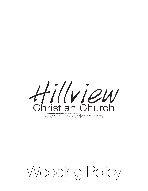

# Wedding Policy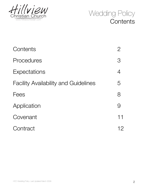



| Contents                                    | $\overline{2}$ |
|---------------------------------------------|----------------|
| Procedures                                  | $\mathcal{S}$  |
| Expectations                                | 4              |
| <b>Facility Availability and Guidelines</b> | 5              |
| Fees                                        | 8              |
| Application                                 | 9              |
| Covenant                                    | 11             |
| Contract                                    | 12             |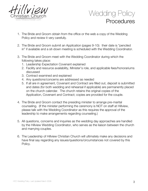



- 1. The Bride and Groom obtain from the office or the web a copy of the Wedding Policy and review it very carefully.
- 2. The Bride and Groom submit an Application (pages 9-10): their date is "penciled in" if available and a sit-down meeting is scheduled with the Wedding Coordinator.
- 3. The Bride and Groom meet with the Wedding Coordinator during which the following takes place:
	- 1. Leadership Expectation Covenant explained
	- 2. Facility and resource availability, Minister's role, and applicable fees/honorariums discussed
	- 3. Contract examined and explained
	- 4. Any questions/concerns are addressed as needed
	- 5. If all are in agreement, Covenant and Contract are filled out, deposit is submitted and dates (for both wedding and rehearsal if applicable) are permanently placed on the church calendar. The church retains the original copies of the Application, Covenant and Contract; copies are provided for the couple.
- 4. The Bride and Groom contact the presiding minister to arrange pre-marital counseling. (If the minister performing the ceremony is NOT on staff at Hillview, please talk with the Wedding Coordinator as this requires the approval of the leadership to make arrangements regarding counseling.)
- 5. All questions, concerns and inquiries as the wedding day approaches are handled by the Hillview Wedding Coordinator, who serves as the liaison between the church and marrying couples.
- 6. The Leadership of Hillview Christian Church will ultimately make any decisions and have final say regarding any issues/questions/circumstances not covered by this Policy.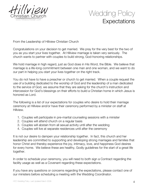

# Wedding Policy **Expectations**

From the Leadership of Hillview Christian Church

Congratulations on your decision to get married. We pray for the very best for the two of you as you start your lives together. At Hillview marriage is taken very seriously. The church wants to partner with couples to build strong, God-honoring relationships.

We hold marriage in high regard, just as God does in His Word, the Bible. We believe that marriage is a life-long commitment between one man and one woman, and we want to do our part in helping you start your lives together on the right track.

You do not have to have a preacher or church to get married. When a couple request the use of a building dedicated to the worship of God and the leadership of a man dedicated to the service of God, we assume that they are asking for the church's instruction and intercession for God's blessings on their efforts to build a Christian home in which Jesus is honored as Lord.

The following is a list of our expectations for couples who desire to hold their marriage ceremony at Hillview and/or have their ceremony performed by a minister on staff at Hillview.

- 1. Couples will participate in pre-marital counseling sessions with a minister
- 2. Couples will attend church on a regular basis
- 3. Couples will abstain from all sexual activity until after the wedding
- 4. Couples will live at separate residences until after the ceremony

It is not our desire to dampen your relationship together. In fact, this church and her leadership are committed to supporting and developing strong marriages and families that honor Christ and thereby experience the joy, intimacy, love, and happiness God desires for every home. We believe these are healthy, Godly guidelines for the start of a great life together.

In order to schedule your ceremony, you will need to both sign a Contract regarding the facility usage as well as a Covenant regarding these expectations.

If you have any questions or concerns regarding the expectations, please contact one of our ministers before scheduling a meeting with the Wedding Coordinator.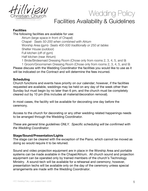

# Wedding Policy Facilities Availability & Guidelines

# **Facilities**

The following facilities are available for use:

Atrium (large space in front of Chapel) Chapel- *Seats 50-200 when combined with Atrium* Worship Area (gym)- *Seats 400-500 traditionally or 250 at tables* Shelter House (outdoor) Full kitchen (off of gym) Half kitchen (near Atrium)

1 Bride/Bridesmaid Dressing Room (Chose only from rooms 2, 3, 4, 5, and 9) 1 Groom/Groomsmen Dressing Room (Chose only from rooms 2, 3, 4, 5, and 9) Please discuss with the Wedding Coordinator the facilities you would like to use as it will be indicated on the Contract and will determine the fees incurred.

## **Scheduling**

Church functions and events have priority on our calendar; however, if the facilities requested are available, weddings may be held on any day of the week other than Sunday but must begin by no later than 6 pm, and the church must be completely cleared out by 10 pm (this includes all material/decoration removal).

In most cases, the facility will be available for decorating one day before the ceremony.

Access to the church for decorating or any other wedding related happenings needs to be arranged through the Wedding Coordinator.

*These are general time guidelines ONLY. Specific scheduling will be confirmed with the Wedding Coordinator.*

### **Stage/Sound/Presentation/Lights**

The stage can be cleared with the exception of the Piano, which cannot be moved as doing so would require it to be retuned.

Sound and video projection equipment are in place in the Worship Area and portable systems can be made available in the Chapel/Atrium. All church sound and projection equipment can be operated only by trained members of the church's Technology Ministry. A sound-tech will be available for a rehearsal and ceremony; however, presentation techs will be available only on the day of the ceremony unless special arrangements are made with the Wedding Coordinator.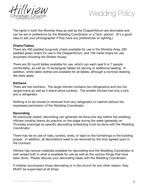



The lights in both the Worship Area as well as the Chapel/Atrium are dimmable and can be set to preference by the Wedding Coordinator or a Tech. person. (It's a good idea to ask your photographer if they have any preferences on lighting.)

#### **Chairs/Tables**

There are 400 padded burgundy chairs available for use in the Worship Area, 200 padded green chairs for use in the Chapel/Atrium, and 100 metal chairs for use anywhere including the Shelter House.

There are 30 round tables available for use, which can each seat 6 or 7 people comfortably, as well as 10 rectangular tables for serving or additional seating. In addition, white table clothes are available for all tables, although a nominal cleaning fee does apply.

#### **Kitchens**

There are two kitchens. The larger kitchen contains two refrigerators and two full range/ovens as well as 5 stand-alone cookers. The smaller kitchen has only a sink and a refrigerator.

Nothing is to be moved or removed from any refrigerator or cabinet without the expressed permission of the Wedding Coordinator.

#### **Decorating**

As previously stated, decorating can generally be done one day before the wedding. Hillview worship teams do practice on the stage during the week (generally on Thursday evenings) so specific decorating scheduling must be done with the Wedding Coordinator.

There may be no use of nails, screws, wires, or tape on the furnishings or the building proper. In addition, all decorations need to be removed by the time agreed upon in the Contract.

Hillview has various materials available for decorating and the Wedding Coordinator is well versed both in what is available for use as well as the various things that have been done. Please discuss your decorating ideas with the Wedding Coordinator.

If children accompany those decorating or in the church for any other reason, they MUST be supervised at all times.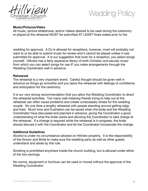



## **Music/Pictures/Video**

All music, picture slideshows, and/or videos desired to be used during the ceremony or played at the rehearsal MUST be submitted AT LEAST three weeks prior to the

wedding for approval. A DJ is allowed for receptions, however, most will probably not want to or be able to submit music for review and it cannot be played unless it was submitted for approval. It is our suggestion that even for a reception, you select songs yourself. Hillview has a fairly expansive library of both Christian and secular music from which you can select songs for use IF you make arrangements through the Wedding Coordinator well in advance.

#### **Rehearsal**

The rehearsal is a very important event. Careful thought should be given well in advance so things go smoothly and you leave the rehearsal with feelings of confidence and anticipation for the ceremony.

It is our very strong recommendation that you allow the Wedding Coordinator to direct the rehearsal activities. Too many well-meaning friends trying to help out at the rehearsal can often cause problems and create unnecessary stress for the wedding couple. No one likes a lengthy rehearsal with people standing around getting edgy and tired. Much time and frustration can be saved when the bride and the Wedding Coordinator have discussed and planned in advance, giving the Coordinator a good understanding of what the bride wants and allowing the Coordinator to take charge at the rehearsal. If a change is required while the rehearsal is in progress, the bride should discuss it with the Coordinator and let the Coordinator incorporate the change.

#### **Additional Guidelines**

Alcohol is under no circumstance allowed on Hillview property. It is the responsibility of the Groom and Bride to make sure the wedding party as well as other guests understand and abide by this rule.

Smoking is prohibited anywhere inside the church building, but is allowed under either of the two awnings.

No rooms, equipment or furniture can be used or moved without the approval of the Wedding Coordinator.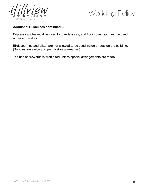



# **Additional Guidelines continued…**

Dripless candles must be used for candelabras, and floor coverings must be used under all candles.

Birdseed, rice and glitter are not allowed to be used inside or outside the building. (Bubbles are a nice and permissible alternative.)

The use of fireworks is prohibited unless special arrangements are made.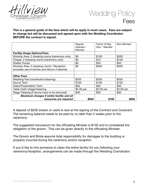



**This is a general guide of the fees which will be apply in most cases. Fees are subject to change but will be discussed and agreed upon with the Wedding Coordinator BEFORE the contract is signed.**

|                                                 | Regular<br>Attender /<br>Member | Family of Reg.<br>Attd. / Member | Non-Member |
|-------------------------------------------------|---------------------------------|----------------------------------|------------|
| <b>Facility Usage Options/Fees</b>              |                                 |                                  |            |
| Worship Area, 2 dressing rooms (ceremony only)  | \$0                             | \$100                            | \$200      |
| Chapel, 2 dressing rooms (ceremony only)        | \$0                             | \$75                             | \$100      |
| <b>Shelter House</b>                            | \$0                             | \$30                             | \$50       |
| Worship Area, 2 dressing rooms / Reception      | \$0                             | \$200                            | \$300      |
| (includes use of kitchen and Atrium if desired) |                                 |                                  |            |
|                                                 |                                 |                                  |            |
| <b>Other Fees</b>                               |                                 |                                  |            |
| Wedding Fee (coordinator/cleaning)              | \$250                           | \$250                            | \$250      |
| Sound Tech.                                     | \$100                           | \$100                            | \$100      |
| Video/Presentation Tech.                        | \$50                            | \$50                             | \$50       |
| Table Cloth Usage/Cleaning                      | \$2.00 per                      | \$2.00 per                       | \$2.00 per |
| Stage Clearing (if drums have to be removed)    | \$30                            | \$30                             | \$30       |
| Maximum charges if entire facility and all      |                                 |                                  |            |
| resources are required                          | \$500                           | <b>\$700</b>                     | S80        |

A deposit of \$200 (check or cash) is due at the signing of the Contract and Covenant. The remaining balance needs to be paid by no later than 2 weeks prior to the ceremony.

The suggested honorarium for the officiating Minister is \$150 and is considered the obligation of the groom. This can be given directly to the officiating Minister.

The Groom and Bride assume total responsibility for damages to the building or property incurred during the ceremony and/or reception.

If you'd like to hire someone to clean the entire facility for you following your ceremony/reception, arrangements can be made through the Wedding Coordinator.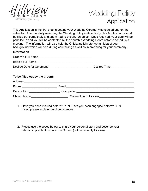



This Application is the first step in getting your Wedding Ceremony scheduled and on the calendar. After carefully reviewing the Wedding Policy in its entirety, this Application should be filled out completely and submitted to the church office. Once received, your date will be penciled in and you will be contacted by the church's Wedding Coordinator to schedule a meeting. The information will also help the Officiating Minister get an idea of your background which will help during counseling as well as in preparing for your ceremony.

#### **Information**

| To be filled out by the groom:  |                               |
|---------------------------------|-------------------------------|
|                                 |                               |
| Phone _________________________ |                               |
|                                 |                               |
| Church home                     | <b>Connection to Hillview</b> |

- 1. Have you been married before? Y N Have you been engaged before? Y N If yes, please explain the circumstances.
- 2. Please use the space below to share your personal story and describe your relationship with Christ and the Church (not necessarily Hillview).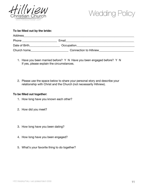



#### **To be filled out by the bride:**

| Address       |                               |
|---------------|-------------------------------|
| Phone         | Email                         |
| Date of Birth | Occupation                    |
| Church home   | <b>Connection to Hillview</b> |

- 1. Have you been married before? Y N Have you been engaged before? Y N If yes, please explain the circumstances.
- 2. Please use the space below to share your personal story and describe your relationship with Christ and the Church (not necessarily Hillview).

#### **To be filled out together:**

- 1. How long have you known each other?
- 2. How did you meet?
- 3. How long have you been dating?
- 4. How long have you been engaged?
- 5. What's your favorite thing to do together?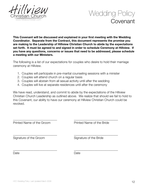



**This Covenant will be discussed and explained in your first meeting with the Wedding Coordinator. Separate from the Contract, this document represents the promise you are making to the Leadership of Hillview Christian Church to abide by the expectations set forth. It must be agreed to and signed in order to schedule Ceremony at Hillview. If you have any questions, concerns or issues that need to be addressed, please schedule a meeting with our Ministers.**

The following is a list of our expectations for couples who desire to hold their marriage ceremony at Hillview.

- 1. Couples will participate in pre-marital counseling sessions with a minister
- 2. Couples will attend church on a regular basis
- 3. Couples will abstain from all sexual activity until after the wedding
- 4. Couples will live at separate residences until after the ceremony

We have read, understand, and commit to abide by the expectations of the Hillview Christian Church Leadership as outlined above. We realize that should we fail to hold to this Covenant, our ability to have our ceremony at Hillview Christian Church could be revoked.

| Printed Name of the Groom | Printed Name of the Bride |
|---------------------------|---------------------------|
| Signature of the Groom    | Signature of the Bride    |
| Date                      | Date                      |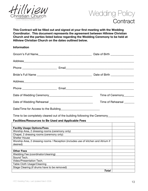



**This Contract will be filled out and signed at your first meeting with the Wedding Coordinator. This document represents the agreement between Hillview Christian Church and the parties listed below regarding the Wedding Ceremony to be held at Hillview Christian Church on the dates outlined below.**

#### **Information**

|  | Time of Ceremony______ |
|--|------------------------|
|  | Time of Rehearsal      |
|  |                        |

Time to be completely cleared out of the building following the Ceremony\_\_\_\_\_\_\_\_\_\_\_\_\_\_

#### **Facilities/Resources to Be Used and Applicable Fees**

| <b>Facility Usage Options/Fees</b>                                                |  |
|-----------------------------------------------------------------------------------|--|
| Worship Area, 2 dressing rooms (ceremony only)                                    |  |
| Chapel, 2 dressing rooms (ceremony only)                                          |  |
| <b>Shelter House</b>                                                              |  |
| Worship Area, 2 dressing rooms / Reception (includes use of kitchen and Atrium if |  |
| desired)                                                                          |  |
|                                                                                   |  |
| <b>Other Fees</b>                                                                 |  |
| Wedding Fee (coordinator/cleaning)                                                |  |
| Sound Tech.                                                                       |  |
| Video/Presentation Tech.                                                          |  |
| Table Cloth Usage/Cleaning                                                        |  |
| Stage Clearing (if drums have to be removed)                                      |  |
| Total                                                                             |  |